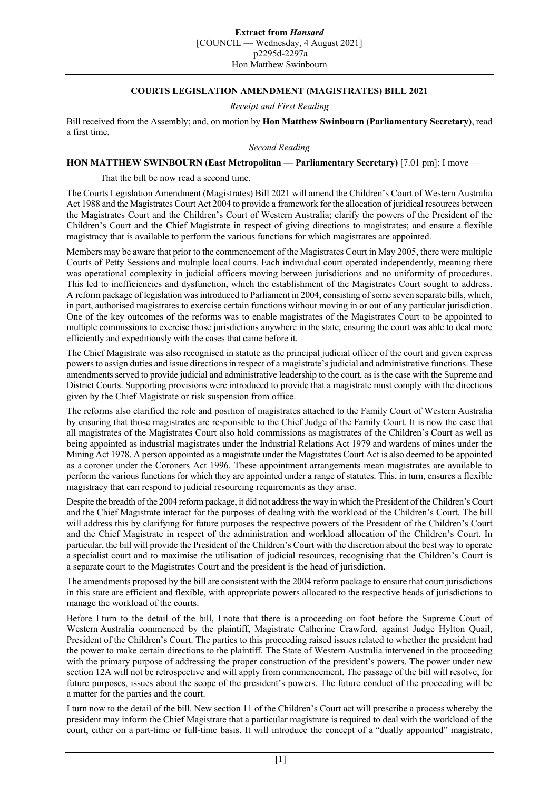## **Extract from** *Hansard*

[COUNCIL — Wednesday, 4 August 2021] p2295d-2297a

Hon Matthew Swinbourn

## **COURTS LEGISLATION AMENDMENT (MAGISTRATES) BILL 2021**

*Receipt and First Reading*

Bill received from the Assembly; and, on motion by **Hon Matthew Swinbourn (Parliamentary Secretary)**, read a first time.

*Second Reading*

## **HON MATTHEW SWINBOURN (East Metropolitan — Parliamentary Secretary)** [7.01 pm]: I move —

That the bill be now read a second time.

The Courts Legislation Amendment (Magistrates) Bill 2021 will amend the Children's Court of Western Australia Act 1988 and the Magistrates Court Act 2004 to provide a framework for the allocation of juridical resources between the Magistrates Court and the Children's Court of Western Australia; clarify the powers of the President of the Children's Court and the Chief Magistrate in respect of giving directions to magistrates; and ensure a flexible magistracy that is available to perform the various functions for which magistrates are appointed.

Members may be aware that prior to the commencement of the Magistrates Court in May 2005, there were multiple Courts of Petty Sessions and multiple local courts. Each individual court operated independently, meaning there was operational complexity in judicial officers moving between jurisdictions and no uniformity of procedures. This led to inefficiencies and dysfunction, which the establishment of the Magistrates Court sought to address. A reform package of legislation was introduced to Parliament in 2004, consisting of some seven separate bills, which, in part, authorised magistrates to exercise certain functions without moving in or out of any particular jurisdiction. One of the key outcomes of the reforms was to enable magistrates of the Magistrates Court to be appointed to multiple commissions to exercise those jurisdictions anywhere in the state, ensuring the court was able to deal more efficiently and expeditiously with the cases that came before it.

The Chief Magistrate was also recognised in statute as the principal judicial officer of the court and given express powers to assign duties and issue directions in respect of a magistrate's judicial and administrative functions. These amendments served to provide judicial and administrative leadership to the court, as is the case with the Supreme and District Courts. Supporting provisions were introduced to provide that a magistrate must comply with the directions given by the Chief Magistrate or risk suspension from office.

The reforms also clarified the role and position of magistrates attached to the Family Court of Western Australia by ensuring that those magistrates are responsible to the Chief Judge of the Family Court. It is now the case that all magistrates of the Magistrates Court also hold commissions as magistrates of the Children's Court as well as being appointed as industrial magistrates under the Industrial Relations Act 1979 and wardens of mines under the Mining Act 1978. A person appointed as a magistrate under the Magistrates Court Act is also deemed to be appointed as a coroner under the Coroners Act 1996. These appointment arrangements mean magistrates are available to perform the various functions for which they are appointed under a range of statutes. This, in turn, ensures a flexible magistracy that can respond to judicial resourcing requirements as they arise.

Despite the breadth of the 2004 reform package, it did not address the way in which the President of the Children's Court and the Chief Magistrate interact for the purposes of dealing with the workload of the Children's Court. The bill will address this by clarifying for future purposes the respective powers of the President of the Children's Court and the Chief Magistrate in respect of the administration and workload allocation of the Children's Court. In particular, the bill will provide the President of the Children's Court with the discretion about the best way to operate a specialist court and to maximise the utilisation of judicial resources, recognising that the Children's Court is a separate court to the Magistrates Court and the president is the head of jurisdiction.

The amendments proposed by the bill are consistent with the 2004 reform package to ensure that court jurisdictions in this state are efficient and flexible, with appropriate powers allocated to the respective heads of jurisdictions to manage the workload of the courts.

Before I turn to the detail of the bill, I note that there is a proceeding on foot before the Supreme Court of Western Australia commenced by the plaintiff, Magistrate Catherine Crawford, against Judge Hylton Quail, President of the Children's Court. The parties to this proceeding raised issues related to whether the president had the power to make certain directions to the plaintiff. The State of Western Australia intervened in the proceeding with the primary purpose of addressing the proper construction of the president's powers. The power under new section 12A will not be retrospective and will apply from commencement. The passage of the bill will resolve, for future purposes, issues about the scope of the president's powers. The future conduct of the proceeding will be a matter for the parties and the court.

I turn now to the detail of the bill. New section 11 of the Children's Court act will prescribe a process whereby the president may inform the Chief Magistrate that a particular magistrate is required to deal with the workload of the court, either on a part-time or full-time basis. It will introduce the concept of a "dually appointed" magistrate,